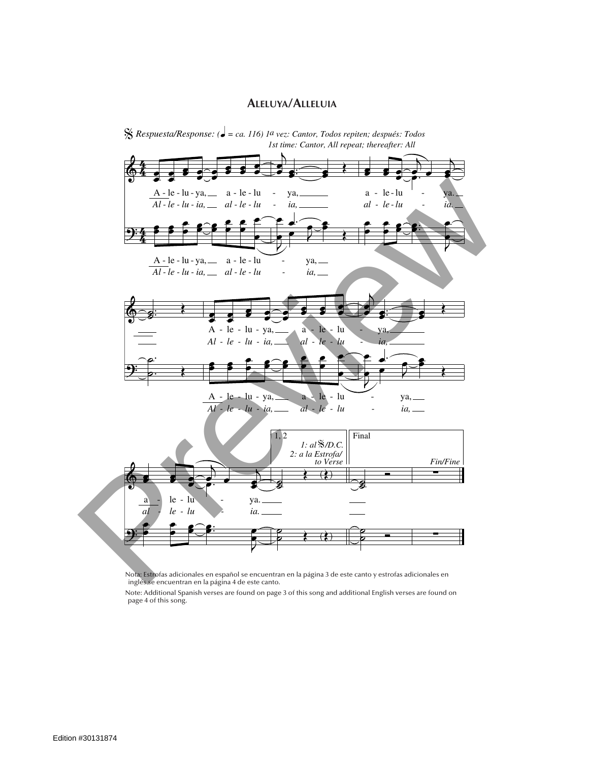## **Aleluya/Alleluia**



Nota: Estrofas adicionales en español se encuentran en la página 3 de este canto y estrofas adicionales en inglés se encuentran en la página 4 de este canto.

Note: Additional Spanish verses are found on page 3 of this song and additional English verses are found on page 4 of this song.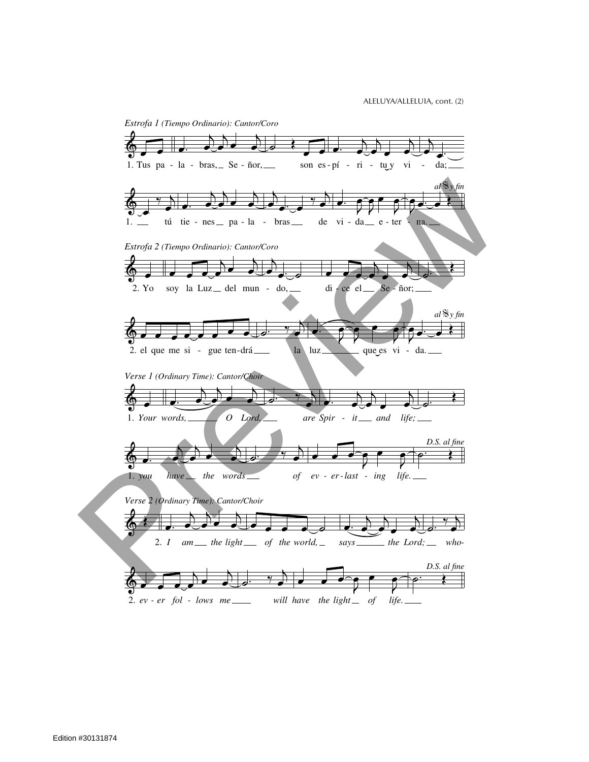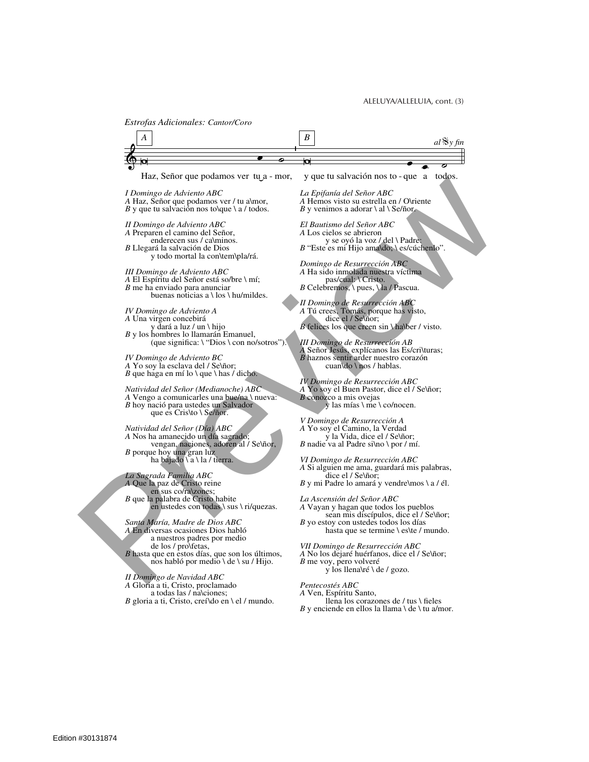*Estrofas Adicionales: Cantor/Coro*

 $\phi$   $\phi$ Haz, Señor que podamos ver tu a - mor, *A*  $\bullet$  **o**<br>- mor, y que tu salvación nos to - que a todos. *al*  $\frac{8}{3}$ *y fin I Domingo de Adviento ABC A* Haz, Señor que podamos ver / tu a\mor, *B* y que tu salvación nos to\que \ a / todos. *II Domingo de Adviento ABC A* Preparen el camino del Señor, enderecen sus / ca\minos. *B* Llegará la salvación de Dios y todo mortal la con\tem\pla/rá. *III Domingo de Adviento ABC A* El Espíritu del Señor está so/bre \ mí; *B* me ha enviado para anunciar buenas noticias a \ los \ hu/mildes. *IV Domingo de Adviento A A* Una virgen concebirá y dará a luz / un \ hijo *B* y los hombres lo llamarán Emanuel, (que significa: \ "Dios \ con no/sotros"). *IV Domingo de Adviento BC A* Yo soy la esclava del / Se\ñor; *B* que haga en mí lo \ que \ has  $\ell$  dicho. *Natividad del Señor (Medianoche) ABC A* Vengo a comunicarles una bue/na \ nueva: *B* hoy nació para ustedes un Salvador que es Cris\to \ Se/ñor. *Natividad del Señor (Día) ABC A* Nos ha amanecido un día sagrado; vengan, naciones, adoren al / Se\ñor, *B* porque hoy una gran luz ha bajado \ a \ la / tierra. *La Sagrada Familia ABC A* Que la paz de Cristo reine en sus co/ra\zones; *B* que la palabra de Cristo habite en ustedes con todas \ sus \ ri/quezas. *Santa María, Madre de Dios ABC A* En diversas ocasiones Dios habló a nuestros padres por medio de los / pro\fetas, *B* hasta que en estos días, que son los últimos, nos habló por medio \ de \ su / Hijo. *II Domingo de Navidad ABC A* Gloria a ti, Cristo, proclamado a todas las / na\ciones; *B* gloria a ti, Cristo, creí\do en \ el / mundo. *La Epifanía del Señor ABC A* Hemos visto su estrella en / O\riente *B* y venimos a adorar  $\langle$  al  $\langle$  Se/ñor. *El Bautismo del Señor ABC A* Los cielos se abrieron y se oyó la voz / del \ Padre: *B* "Este es mi Hijo ama\do; \ es/cúchenlo". *Domingo de Resurrección ABC A* Ha sido inmolada nuestra víctima pas/cual: \ Cristo. *B* Celebremos, \ pues, \ la / Pascua. *II Domingo de Resurrección ABC A* Tú crees, Tomás, porque has visto, dice el / Se\ñor; *B* felices los que creen sin \ ha\ber / visto. *III Domingo de Resurrección AB A* Señor Jesús, explícanos las Es/cri\turas; *B* haznos sentir arder nuestro corazón cuan\do \ nos / hablas. *IV Domingo de Resurrección ABC A* Yo soy el Buen Pastor, dice el / Se\ñor; *B* conozco a mis ovejas y las mías \ me \ co/nocen. *V Domingo de Resurrección A A* Yo soy el Camino, la Verdad y la Vida, dice el / Se\ñor; *B* nadie va al Padre si\no \ por / mí. *VI Domingo de Resurrección ABC A* Si alguien me ama, guardará mis palabras, dice el / Se\ñor; *B* y mi Padre lo amará y vendre\mos \ a / él. *La Ascensión del Señor ABC A* Vayan y hagan que todos los pueblos sean mis discípulos, dice el / Se\ñor; *B* yo estoy con ustedes todos los días hasta que se termine \ es\te / mundo. *VII Domingo de Resurrección ABC A* No los dejaré huérfanos, dice el / Se\ñor; *B* me voy, pero volveré y los llena\ré \ de / gozo. *Pentecostés ABC A* Ven, Espíritu Santo, llena los corazones de / tus \ fieles *B* y enciende en ellos la llama  $\cdot$  de  $\cdot$  tu a/mor. Thermodyn de Advirons ABC<br>
A transferior different and section of the Software of the Software of the Software of the Software Control of the Software of Alberta Control of the Control of the Control of the Control of the